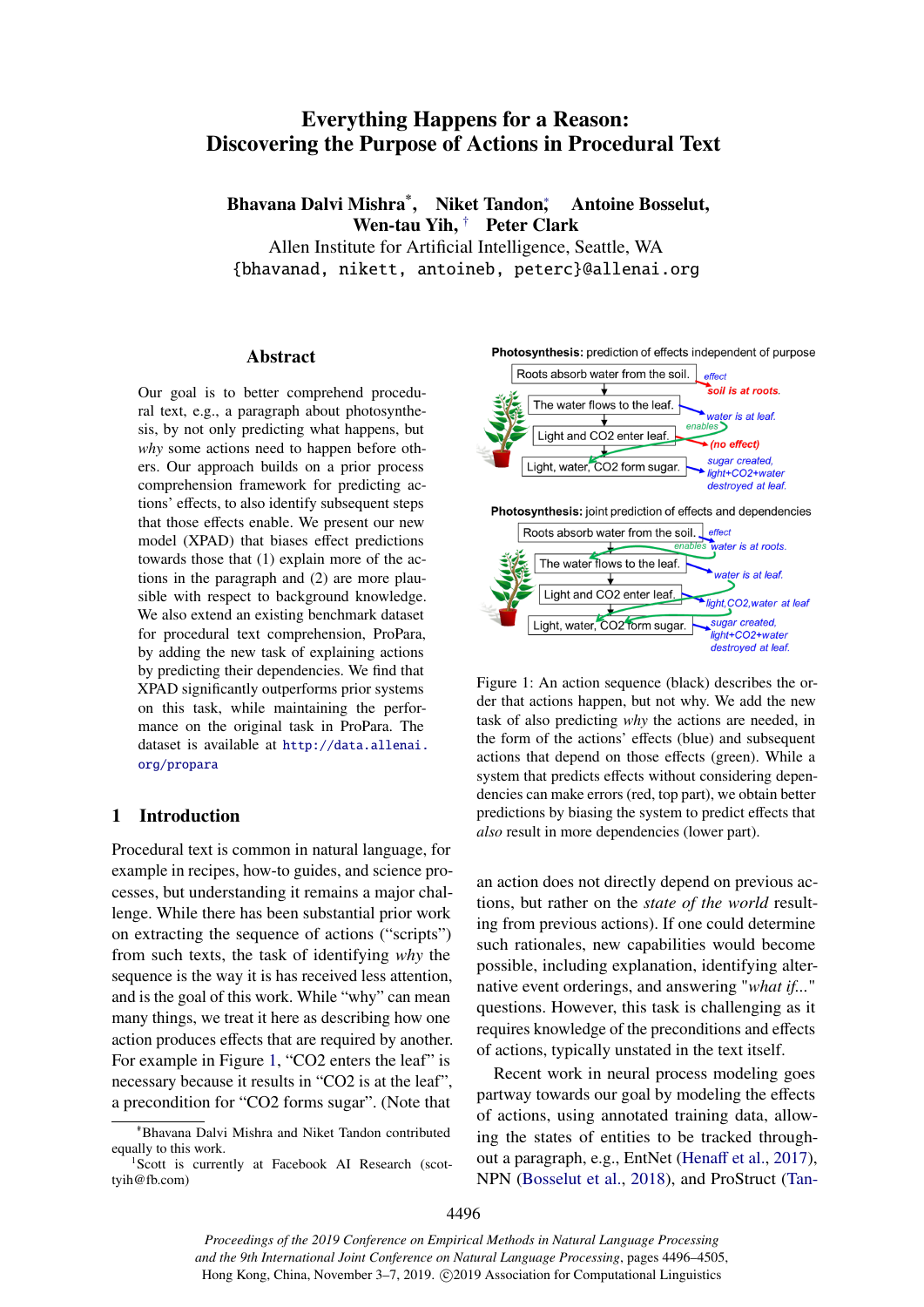# <span id="page-0-1"></span>Everything Happens for a Reason: Discovering the Purpose of Actions in Procedural Text

Bhavana Dalvi Mishra<sup>\*</sup>, Niket Tandon; , Antoine Bosselut, Wen-tau Yih, † Peter Clark

Allen Institute for Artificial Intelligence, Seattle, WA {bhavanad, nikett, antoineb, peterc}@allenai.org

### Abstract

Our goal is to better comprehend procedural text, e.g., a paragraph about photosynthesis, by not only predicting what happens, but *why* some actions need to happen before others. Our approach builds on a prior process comprehension framework for predicting actions' effects, to also identify subsequent steps that those effects enable. We present our new model (XPAD) that biases effect predictions towards those that (1) explain more of the actions in the paragraph and (2) are more plausible with respect to background knowledge. We also extend an existing benchmark dataset for procedural text comprehension, ProPara, by adding the new task of explaining actions by predicting their dependencies. We find that XPAD significantly outperforms prior systems on this task, while maintaining the performance on the original task in ProPara. The dataset is available at [http://data.allenai.](http://data.allenai.org/propara) [org/propara](http://data.allenai.org/propara)

## 1 Introduction

Procedural text is common in natural language, for example in recipes, how-to guides, and science processes, but understanding it remains a major challenge. While there has been substantial prior work on extracting the sequence of actions ("scripts") from such texts, the task of identifying *why* the sequence is the way it is has received less attention, and is the goal of this work. While "why" can mean many things, we treat it here as describing how one action produces effects that are required by another. For example in Figure [1,](#page-0-0) "CO2 enters the leaf" is necessary because it results in "CO2 is at the leaf", a precondition for "CO2 forms sugar". (Note that

<span id="page-0-0"></span>Photosynthesis: prediction of effects independent of purpose



Figure 1: An action sequence (black) describes the order that actions happen, but not why. We add the new task of also predicting *why* the actions are needed, in the form of the actions' effects (blue) and subsequent actions that depend on those effects (green). While a system that predicts effects without considering dependencies can make errors (red, top part), we obtain better predictions by biasing the system to predict effects that *also* result in more dependencies (lower part).

an action does not directly depend on previous actions, but rather on the *state of the world* resulting from previous actions). If one could determine such rationales, new capabilities would become possible, including explanation, identifying alternative event orderings, and answering "*what if...*" questions. However, this task is challenging as it requires knowledge of the preconditions and effects of actions, typically unstated in the text itself.

Recent work in neural process modeling goes partway towards our goal by modeling the effects of actions, using annotated training data, allowing the states of entities to be tracked throughout a paragraph, e.g., EntNet [\(Hena](#page-9-0)ff et al., [2017\)](#page-9-0), NPN [\(Bosselut et al.,](#page-8-0) [2018\)](#page-8-0), and ProStruct [\(Tan-](#page-9-1)

<sup>∗</sup>\*Bhavana Dalvi Mishra and Niket Tandon contributed equally to this work.

<sup>&</sup>lt;sup>1</sup>Scott is currently at Facebook AI Research (scottyih@fb.com)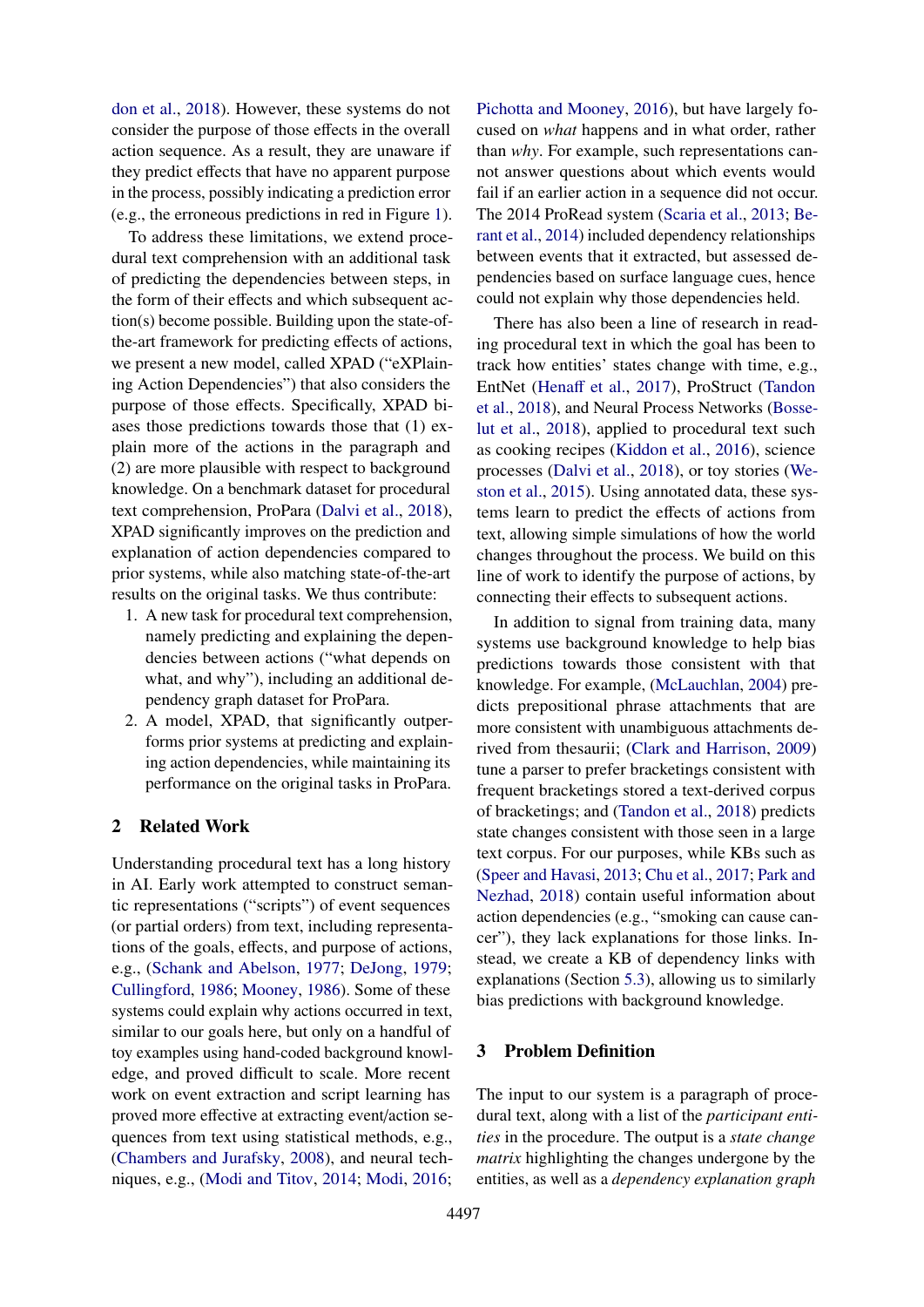[don et al.,](#page-9-1) [2018\)](#page-9-1). However, these systems do not consider the purpose of those effects in the overall action sequence. As a result, they are unaware if they predict effects that have no apparent purpose in the process, possibly indicating a prediction error (e.g., the erroneous predictions in red in Figure [1\)](#page-0-0).

To address these limitations, we extend procedural text comprehension with an additional task of predicting the dependencies between steps, in the form of their effects and which subsequent action(s) become possible. Building upon the state-ofthe-art framework for predicting effects of actions, we present a new model, called XPAD ("eXPlaining Action Dependencies") that also considers the purpose of those effects. Specifically, XPAD biases those predictions towards those that (1) explain more of the actions in the paragraph and (2) are more plausible with respect to background knowledge. On a benchmark dataset for procedural text comprehension, ProPara [\(Dalvi et al.,](#page-8-1) [2018\)](#page-8-1), XPAD significantly improves on the prediction and explanation of action dependencies compared to prior systems, while also matching state-of-the-art results on the original tasks. We thus contribute:

- 1. A new task for procedural text comprehension, namely predicting and explaining the dependencies between actions ("what depends on what, and why"), including an additional dependency graph dataset for ProPara.
- 2. A model, XPAD, that significantly outperforms prior systems at predicting and explaining action dependencies, while maintaining its performance on the original tasks in ProPara.

#### 2 Related Work

Understanding procedural text has a long history in AI. Early work attempted to construct semantic representations ("scripts") of event sequences (or partial orders) from text, including representations of the goals, effects, and purpose of actions, e.g., [\(Schank and Abelson,](#page-9-2) [1977;](#page-9-2) [DeJong,](#page-8-2) [1979;](#page-8-2) [Cullingford,](#page-8-3) [1986;](#page-8-3) [Mooney,](#page-9-3) [1986\)](#page-9-3). Some of these systems could explain why actions occurred in text, similar to our goals here, but only on a handful of toy examples using hand-coded background knowledge, and proved difficult to scale. More recent work on event extraction and script learning has proved more effective at extracting event/action sequences from text using statistical methods, e.g., [\(Chambers and Jurafsky,](#page-8-4) [2008\)](#page-8-4), and neural techniques, e.g., [\(Modi and Titov,](#page-9-4) [2014;](#page-9-4) [Modi,](#page-9-5) [2016;](#page-9-5)

[Pichotta and Mooney,](#page-9-6) [2016\)](#page-9-6), but have largely focused on *what* happens and in what order, rather than *why*. For example, such representations cannot answer questions about which events would fail if an earlier action in a sequence did not occur. The 2014 ProRead system [\(Scaria et al.,](#page-9-7) [2013;](#page-9-7) [Be](#page-8-5)[rant et al.,](#page-8-5) [2014\)](#page-8-5) included dependency relationships between events that it extracted, but assessed dependencies based on surface language cues, hence could not explain why those dependencies held.

There has also been a line of research in reading procedural text in which the goal has been to track how entities' states change with time, e.g., EntNet [\(Hena](#page-9-0)ff et al., [2017\)](#page-9-0), ProStruct [\(Tandon](#page-9-1) [et al.,](#page-9-1) [2018\)](#page-9-1), and Neural Process Networks [\(Bosse](#page-8-0)[lut et al.,](#page-8-0) [2018\)](#page-8-0), applied to procedural text such as cooking recipes [\(Kiddon et al.,](#page-9-8) [2016\)](#page-9-8), science processes [\(Dalvi et al.,](#page-8-1) [2018\)](#page-8-1), or toy stories [\(We](#page-9-9)[ston et al.,](#page-9-9) [2015\)](#page-9-9). Using annotated data, these systems learn to predict the effects of actions from text, allowing simple simulations of how the world changes throughout the process. We build on this line of work to identify the purpose of actions, by connecting their effects to subsequent actions.

In addition to signal from training data, many systems use background knowledge to help bias predictions towards those consistent with that knowledge. For example, [\(McLauchlan,](#page-9-10) [2004\)](#page-9-10) predicts prepositional phrase attachments that are more consistent with unambiguous attachments derived from thesaurii; [\(Clark and Harrison,](#page-8-6) [2009\)](#page-8-6) tune a parser to prefer bracketings consistent with frequent bracketings stored a text-derived corpus of bracketings; and [\(Tandon et al.,](#page-9-1) [2018\)](#page-9-1) predicts state changes consistent with those seen in a large text corpus. For our purposes, while KBs such as [\(Speer and Havasi,](#page-9-11) [2013;](#page-9-11) [Chu et al.,](#page-8-7) [2017;](#page-8-7) [Park and](#page-9-12) [Nezhad,](#page-9-12) [2018\)](#page-9-12) contain useful information about action dependencies (e.g., "smoking can cause cancer"), they lack explanations for those links. Instead, we create a KB of dependency links with explanations (Section [5.3\)](#page-5-0), allowing us to similarly bias predictions with background knowledge.

## 3 Problem Definition

The input to our system is a paragraph of procedural text, along with a list of the *participant entities* in the procedure. The output is a *state change matrix* highlighting the changes undergone by the entities, as well as a *dependency explanation graph*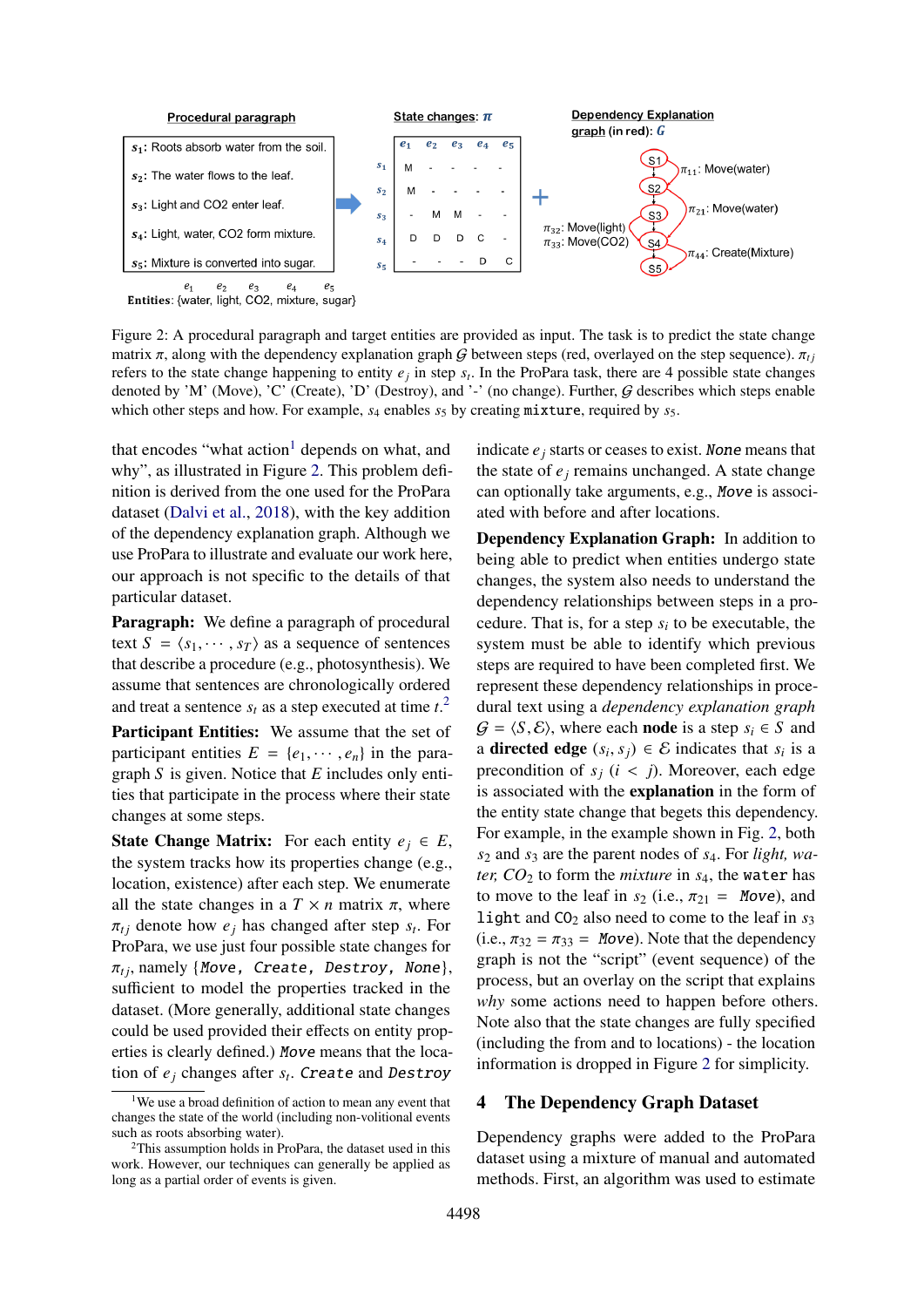<span id="page-2-0"></span>

Figure 2: A procedural paragraph and target entities are provided as input. The task is to predict the state change matrix  $\pi$ , along with the dependency explanation graph G between steps (red, overlayed on the step sequence).  $\pi_{t}$ refers to the state change happening to entity  $e_j$  in step  $s_t$ . In the ProPara task, there are 4 possible state changes denoted by 'M' (Move), 'C' (Create), 'D' (Destroy), and '-' (no change). Further,  $G$  describes which steps enable which other steps and how. For example,  $s_4$  enables  $s_5$  by creating mixture, required by  $s_5$ .

that encodes "what action<sup>[1](#page-0-1)</sup> depends on what, and why", as illustrated in Figure [2.](#page-2-0) This problem definition is derived from the one used for the ProPara dataset [\(Dalvi et al.,](#page-8-1) [2018\)](#page-8-1), with the key addition of the dependency explanation graph. Although we use ProPara to illustrate and evaluate our work here, our approach is not specific to the details of that particular dataset.

Paragraph: We define a paragraph of procedural text  $S = \langle s_1, \dots, s_T \rangle$  as a sequence of sentences that describe a procedure (e.g., photosynthesis). We assume that sentences are chronologically ordered and treat a sentence  $s_t$  as a step executed at time  $t$ <sup>[2](#page-0-1)</sup>

Participant Entities: We assume that the set of participant entities  $E = \{e_1, \dots, e_n\}$  in the paragraph *S* is given. Notice that *E* includes only entities that participate in the process where their state changes at some steps.

**State Change Matrix:** For each entity  $e_j \in E$ , the system tracks how its properties change (e.g., location, existence) after each step. We enumerate all the state changes in a  $T \times n$  matrix  $\pi$ , where  $\pi_{tj}$  denote how  $e_j$  has changed after step  $s_t$ . For **ProPara** we use just four possible state changes for ProPara, we use just four possible state changes for  $\pi_{ti}$ , namely {Move, Create, Destroy, None}, sufficient to model the properties tracked in the dataset. (More generally, additional state changes could be used provided their effects on entity properties is clearly defined.) Move means that the location of *e<sup>j</sup>* changes after *s<sup>t</sup>* . Create and Destroy

indicate  $e_j$  starts or ceases to exist. None means that the state of  $e_j$  remains unchanged. A state change can optionally take arguments, e.g., Move is associated with before and after locations.

Dependency Explanation Graph: In addition to being able to predict when entities undergo state changes, the system also needs to understand the dependency relationships between steps in a procedure. That is, for a step  $s_i$  to be executable, the system must be able to identify which previous steps are required to have been completed first. We represent these dependency relationships in procedural text using a *dependency explanation graph*  $G = \langle S, \mathcal{E} \rangle$ , where each **node** is a step  $s_i \in S$  and a **directed edge**  $(s_i, s_j) \in \mathcal{E}$  indicates that  $s_i$  is a precondition of  $s_i$ ,  $(i \leq j)$ . Moreover, each edge precondition of  $s_j$  ( $i < j$ ). Moreover, each edge is associated with the explanation in the form of the entity state change that begets this dependency. For example, in the example shown in Fig. [2,](#page-2-0) both *s*<sup>2</sup> and *s*<sup>3</sup> are the parent nodes of *s*4. For *light, water,*  $CO_2$  *to form the <i>mixture* in  $s_4$ , the water has to move to the leaf in  $s_2$  (i.e.,  $\pi_{21}$  = Move), and light and  $CO<sub>2</sub>$  also need to come to the leaf in  $s<sub>3</sub>$ (i.e.,  $\pi_{32} = \pi_{33} =$  Move). Note that the dependency graph is not the "script" (event sequence) of the process, but an overlay on the script that explains *why* some actions need to happen before others. Note also that the state changes are fully specified (including the from and to locations) - the location information is dropped in Figure [2](#page-2-0) for simplicity.

## <span id="page-2-1"></span>4 The Dependency Graph Dataset

Dependency graphs were added to the ProPara dataset using a mixture of manual and automated methods. First, an algorithm was used to estimate

<sup>&</sup>lt;sup>1</sup>We use a broad definition of action to mean any event that changes the state of the world (including non-volitional events such as roots absorbing water).

<sup>2</sup>This assumption holds in ProPara, the dataset used in this work. However, our techniques can generally be applied as long as a partial order of events is given.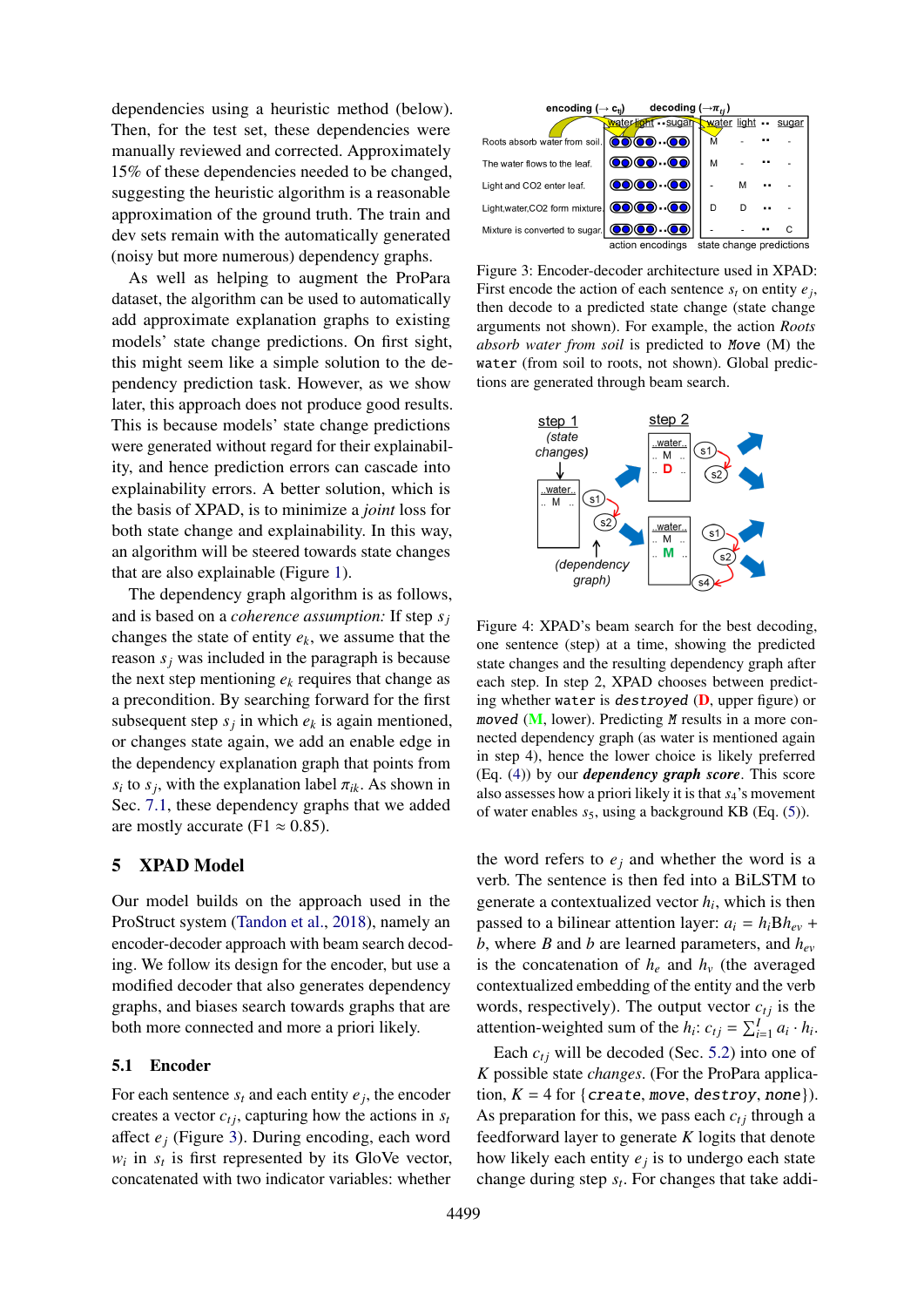dependencies using a heuristic method (below). Then, for the test set, these dependencies were manually reviewed and corrected. Approximately 15% of these dependencies needed to be changed, suggesting the heuristic algorithm is a reasonable approximation of the ground truth. The train and dev sets remain with the automatically generated (noisy but more numerous) dependency graphs.

As well as helping to augment the ProPara dataset, the algorithm can be used to automatically add approximate explanation graphs to existing models' state change predictions. On first sight, this might seem like a simple solution to the dependency prediction task. However, as we show later, this approach does not produce good results. This is because models' state change predictions were generated without regard for their explainability, and hence prediction errors can cascade into explainability errors. A better solution, which is the basis of XPAD, is to minimize a *joint* loss for both state change and explainability. In this way, an algorithm will be steered towards state changes that are also explainable (Figure [1\)](#page-0-0).

The dependency graph algorithm is as follows, and is based on a *coherence assumption:* If step *s<sup>j</sup>* changes the state of entity *ek*, we assume that the reason  $s_j$  was included in the paragraph is because the next step mentioning  $e_k$  requires that change as a precondition. By searching forward for the first subsequent step  $s_j$  in which  $e_k$  is again mentioned, or changes state again, we add an enable edge in the dependency explanation graph that points from *s*<sup>*i*</sup> to *s*<sup>*j*</sup>, with the explanation label  $\pi_{ik}$ . As shown in Sec. 7.1, these dependency graphs that we added Sec. [7.1,](#page-7-0) these dependency graphs that we added are mostly accurate (F1  $\approx$  0.85).

## 5 XPAD Model

Our model builds on the approach used in the ProStruct system [\(Tandon et al.,](#page-9-1) [2018\)](#page-9-1), namely an encoder-decoder approach with beam search decoding. We follow its design for the encoder, but use a modified decoder that also generates dependency graphs, and biases search towards graphs that are both more connected and more a priori likely.

#### 5.1 Encoder

For each sentence  $s_t$  and each entity  $e_j$ , the encoder creates a vector  $c_{tj}$ , capturing how the actions in  $s_t$ affect *e<sup>j</sup>* (Figure [3\)](#page-3-0). During encoding, each word  $w_i$  in  $s_t$  is first represented by its GloVe vector, concatenated with two indicator variables: whether

<span id="page-3-0"></span>

Figure 3: Encoder-decoder architecture used in XPAD: First encode the action of each sentence  $s_t$  on entity  $e_j$ , then decode to a predicted state change (state change arguments not shown). For example, the action *Roots absorb water from soil* is predicted to Move (M) the water (from soil to roots, not shown). Global predictions are generated through beam search.

<span id="page-3-1"></span>

Figure 4: XPAD's beam search for the best decoding, one sentence (step) at a time, showing the predicted state changes and the resulting dependency graph after each step. In step 2, XPAD chooses between predicting whether water is destroyed  $(D,$  upper figure) or moved  $(M,$  lower). Predicting  $M$  results in a more connected dependency graph (as water is mentioned again in step 4), hence the lower choice is likely preferred (Eq. [\(4\)](#page-4-0)) by our *dependency graph score*. This score also assesses how a priori likely it is that *s*4's movement of water enables  $s_5$ , using a background KB (Eq. [\(5\)](#page-5-1)).

the word refers to  $e_i$  and whether the word is a verb. The sentence is then fed into a BiLSTM to generate a contextualized vector  $h_i$ , which is then passed to a bilinear attention layer:  $a_i = h_i Bh_{ev}$  + *b*, where *B* and *b* are learned parameters, and *hev* is the concatenation of  $h_e$  and  $h_v$  (the averaged contextualized embedding of the entity and the verb words, respectively). The output vector  $c_{tj}$  is the attention-weighted sum of the  $h_i$ :  $c_{tj} = \sum_{i=1}^{I} a_i \cdot h_i$ .

Each  $c_{ti}$  will be decoded (Sec. [5.2\)](#page-4-1) into one of *K* possible state *changes*. (For the ProPara application,  $K = 4$  for {create, move, destroy, none}). As preparation for this, we pass each  $c_{ti}$  through a feedforward layer to generate *K* logits that denote how likely each entity *e<sup>j</sup>* is to undergo each state change during step *s<sup>t</sup>* . For changes that take addi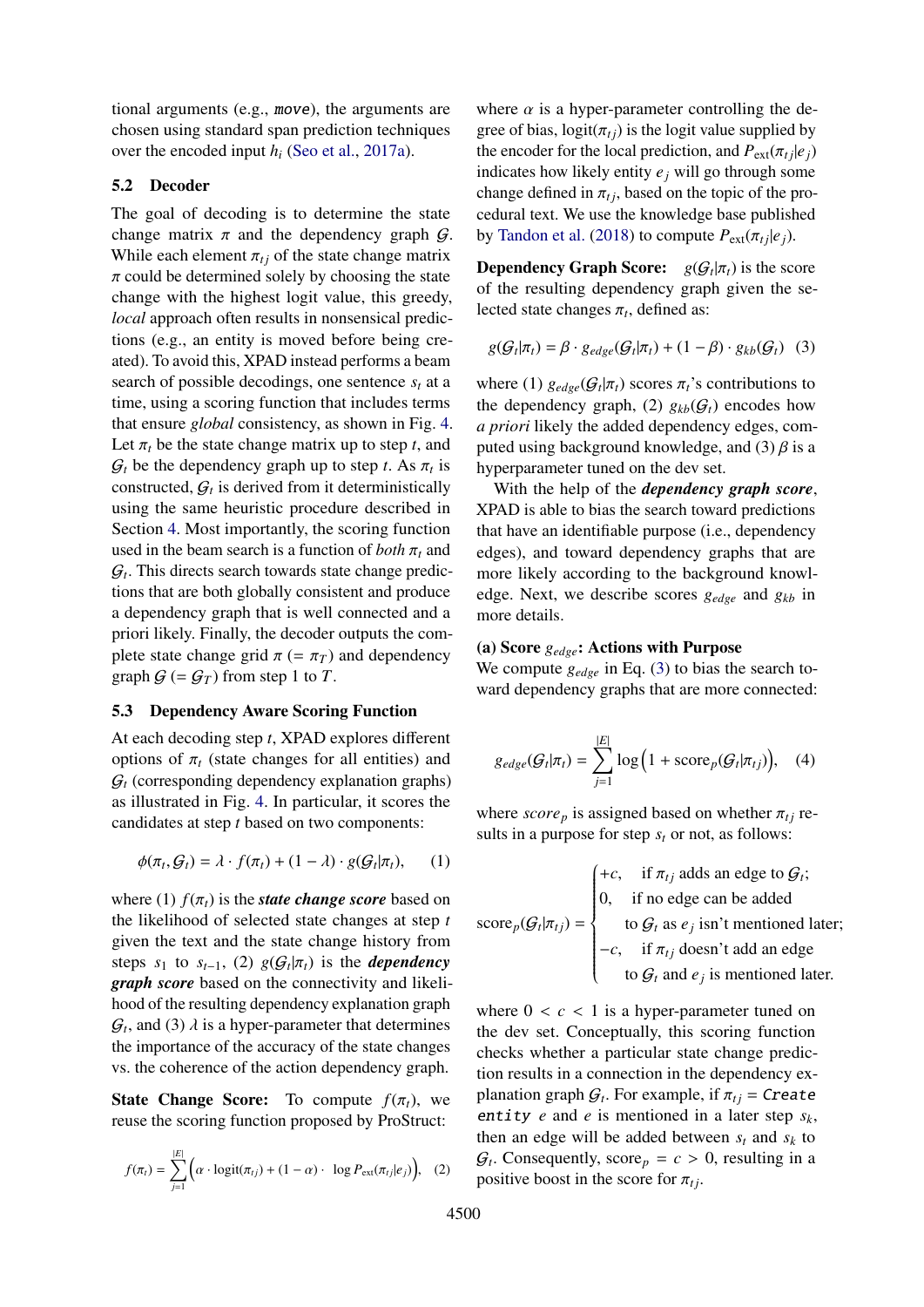tional arguments (e.g., move), the arguments are chosen using standard span prediction techniques over the encoded input *h<sup>i</sup>* [\(Seo et al.,](#page-9-13) [2017a\)](#page-9-13).

#### <span id="page-4-1"></span>5.2 Decoder

The goal of decoding is to determine the state change matrix  $\pi$  and the dependency graph  $\mathcal{G}$ . While each element  $\pi_{ti}$  of the state change matrix  $\pi$  could be determined solely by choosing the state change with the highest logit value, this greedy, *local* approach often results in nonsensical predictions (e.g., an entity is moved before being created). To avoid this, XPAD instead performs a beam search of possible decodings, one sentence  $s_t$  at a time, using a scoring function that includes terms that ensure *global* consistency, as shown in Fig. [4.](#page-3-1) Let  $\pi_t$  be the state change matrix up to step *t*, and  $G_t$  be the dependency graph up to step *t*. As  $\pi_t$  is<br>constructed  $G_t$  is derived from it deterministically constructed,  $G_t$  is derived from it deterministically using the same heuristic procedure described in Section [4.](#page-2-1) Most importantly, the scoring function used in the beam search is a function of *both*  $\pi_t$  and G*t* . This directs search towards state change predictions that are both globally consistent and produce a dependency graph that is well connected and a priori likely. Finally, the decoder outputs the complete state change grid  $\pi$  (=  $\pi$ <sub>*T*</sub>) and dependency graph  $G = G_T$  from step 1 to *T*.

### 5.3 Dependency Aware Scoring Function

At each decoding step *t*, XPAD explores different options of  $\pi_t$  (state changes for all entities) and  $G_t$  (corresponding dependency explanation graphs) as illustrated in Fig. [4.](#page-3-1) In particular, it scores the candidates at step *t* based on two components:

$$
\phi(\pi_t, \mathcal{G}_t) = \lambda \cdot f(\pi_t) + (1 - \lambda) \cdot g(\mathcal{G}_t | \pi_t), \qquad (1)
$$

where (1)  $f(\pi_t)$  is the *state change score* based on the likelihood of selected state changes at step *t* given the text and the state change history from steps  $s_1$  to  $s_{t-1}$ , (2)  $g(G_t | \pi_t)$  is the *dependency*<br>graph score based on the connectivity and likeli*graph score* based on the connectivity and likelihood of the resulting dependency explanation graph  $G_t$ , and (3)  $\lambda$  is a hyper-parameter that determines<br>the importance of the accuracy of the state changes the importance of the accuracy of the state changes vs. the coherence of the action dependency graph.

**State Change Score:** To compute  $f(\pi_t)$ , we reuse the scoring function proposed by ProStruct:

$$
f(\pi_t) = \sum_{j=1}^{|E|} \Big( \alpha \cdot \text{logit}(\pi_{tj}) + (1 - \alpha) \cdot \log P_{\text{ext}}(\pi_{tj}|e_j) \Big), \quad (2)
$$

where  $\alpha$  is a hyper-parameter controlling the degree of bias,  $logit(\pi_{ti})$  is the logit value supplied by the encoder for the local prediction, and  $P_{ext}(\pi_t | e_i)$ indicates how likely entity *e<sup>j</sup>* will go through some change defined in  $\pi_{tj}$ , based on the topic of the procedural text. We use the knowledge base published by [Tandon et al.](#page-9-1) [\(2018\)](#page-9-1) to compute  $P_{ext}(\pi_t | e_i)$ .

**Dependency Graph Score:**  $g(G_t|\pi_t)$  is the score of the resulting dependency graph given the set of the resulting dependency graph given the selected state changes  $\pi_t$ , defined as:

<span id="page-4-2"></span>
$$
g(\mathcal{G}_t|\pi_t) = \beta \cdot g_{edge}(\mathcal{G}_t|\pi_t) + (1-\beta) \cdot g_{kb}(\mathcal{G}_t) \quad (3)
$$

where (1)  $g_{edge}(G_t | \pi_t)$  scores  $\pi_t$ 's contributions to the dependency graph (2)  $g_{tt}(G_t)$  encodes how the dependency graph, (2)  $g_{kb}(\mathcal{G}_t)$  encodes how *a priori* likely the added dependency edges, computed using background knowledge, and  $(3)$   $\beta$  is a hyperparameter tuned on the dev set.

With the help of the *dependency graph score*, XPAD is able to bias the search toward predictions that have an identifiable purpose (i.e., dependency edges), and toward dependency graphs that are more likely according to the background knowledge. Next, we describe scores *gedge* and *gkb* in more details.

#### (a) Score *gedge*: Actions with Purpose

<span id="page-4-0"></span>We compute *gedge* in Eq. [\(3\)](#page-4-2) to bias the search toward dependency graphs that are more connected:

$$
g_{edge}(G_t|\pi_t) = \sum_{j=1}^{|E|} \log \left(1 + \text{score}_p(G_t|\pi_{tj})\right), \quad (4)
$$

where  $score_p$  is assigned based on whether  $\pi_{ti}$  results in a purpose for step *s<sup>t</sup>* or not, as follows:

$$
\text{score}_p(\mathcal{G}_t | \pi_{tj}) = \begin{cases} +c, & \text{if } \pi_{tj} \text{ adds an edge to } \mathcal{G}_t; \\ 0, & \text{if no edge can be added} \\ & \text{to } \mathcal{G}_t \text{ as } e_j \text{ isn't mentioned later;} \\ -c, & \text{if } \pi_{tj} \text{ doesn't add an edge} \\ & \text{to } \mathcal{G}_t \text{ and } e_j \text{ is mentioned later.} \end{cases}
$$

where  $0 < c < 1$  is a hyper-parameter tuned on the dev set. Conceptually, this scoring function checks whether a particular state change prediction results in a connection in the dependency explanation graph  $G_t$ . For example, if  $\pi_{tj} = \text{Create}$ <br>antity e and e is mentioned in a later step sy entity *e* and *e* is mentioned in a later step *sk*, then an edge will be added between  $s_t$  and  $s_k$  to  $G_t$ . Consequently, score<sub>p</sub> =  $c > 0$ , resulting in a positive boost in the score for  $\pi$ . positive boost in the score for  $\pi_{ti}$ .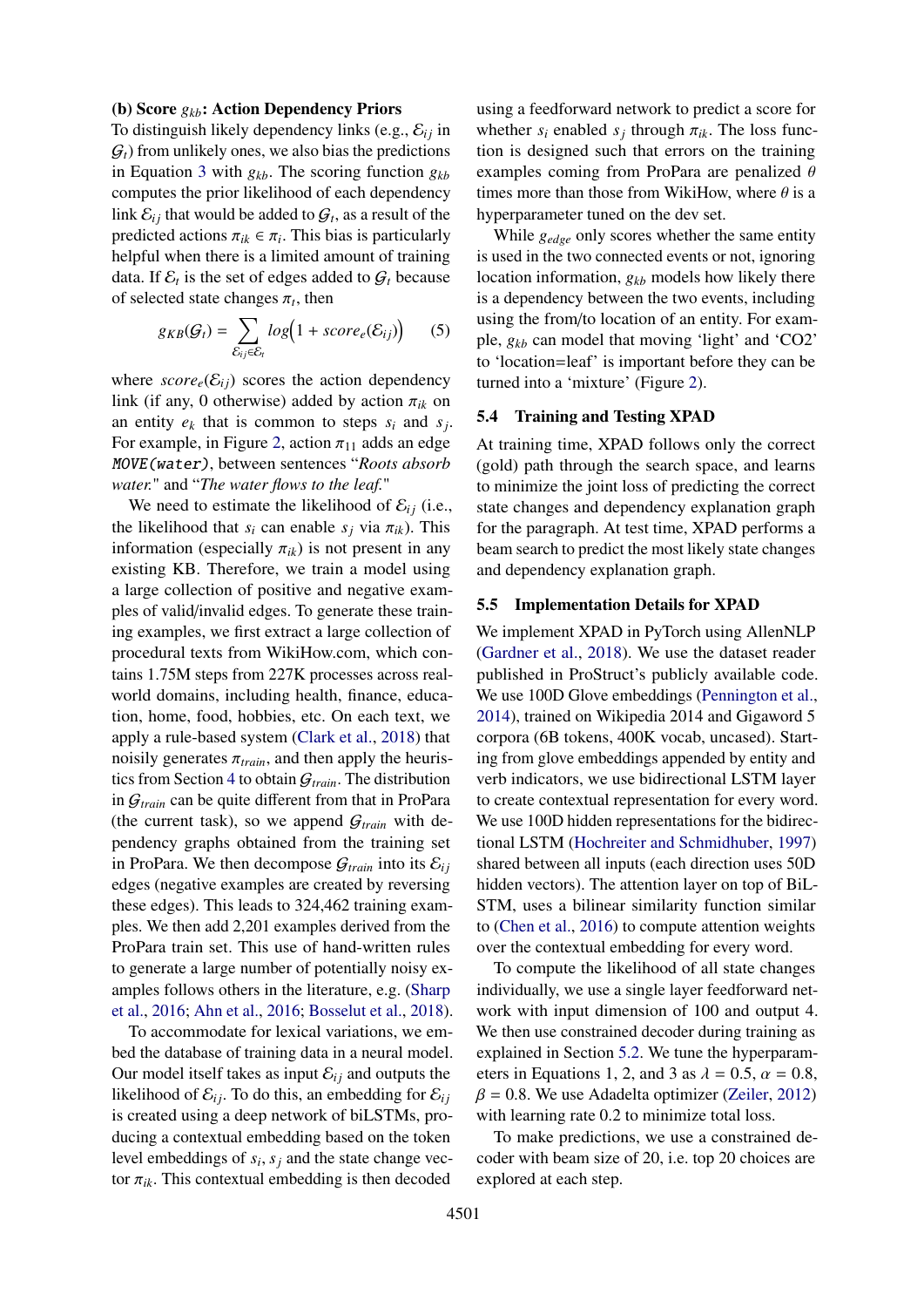### <span id="page-5-0"></span>(b) Score *gkb*: Action Dependency Priors

To distinguish likely dependency links (e.g.,  $\mathcal{E}_{ij}$  in  $G_t$ ) from unlikely ones, we also bias the predictions in Equation [3](#page-4-2) with *gkb*. The scoring function *gkb* computes the prior likelihood of each dependency link  $\mathcal{E}_{ij}$  that would be added to  $\mathcal{G}_t$ , as a result of the predicted actions  $\pi_{ik} \in \pi_i$ . This bias is particularly helpful when there is a limited amount of training helpful when there is a limited amount of training data. If  $\mathcal{E}_t$  is the set of edges added to  $\mathcal{G}_t$  because of selected state changes  $\pi_t$ , then

$$
g_{KB}(G_t) = \sum_{\mathcal{E}_{ij} \in \mathcal{E}_t} log(1 + score_e(\mathcal{E}_{ij}))
$$
 (5)

where  $score_e(\mathcal{E}_{ij})$  scores the action dependency link (if any, 0 otherwise) added by action  $\pi_{ik}$  on an entity  $e_k$  that is common to steps  $s_i$  and  $s_j$ . For example, in Figure [2,](#page-2-0) action  $\pi_{11}$  adds an edge MOVE(water), between sentences "*Roots absorb water.*" and "*The water flows to the leaf.*"

We need to estimate the likelihood of  $\mathcal{E}_{ij}$  (i.e., the likelihood that  $s_i$  can enable  $s_j$  via  $\pi_{ik}$ ). This information (especially  $\pi_{ik}$ ) is not present in any existing KB. Therefore, we train a model using a large collection of positive and negative examples of valid/invalid edges. To generate these training examples, we first extract a large collection of procedural texts from WikiHow.com, which contains 1.75M steps from 227K processes across realworld domains, including health, finance, education, home, food, hobbies, etc. On each text, we apply a rule-based system [\(Clark et al.,](#page-8-8) [2018\)](#page-8-8) that noisily generates  $\pi_{train}$ , and then apply the heuristics from Section [4](#page-2-1) to obtain G*train*. The distribution in G*train* can be quite different from that in ProPara (the current task), so we append  $G_{train}$  with dependency graphs obtained from the training set in ProPara. We then decompose  $G_{train}$  into its  $\mathcal{E}_{ij}$ edges (negative examples are created by reversing these edges). This leads to 324,462 training examples. We then add 2,201 examples derived from the ProPara train set. This use of hand-written rules to generate a large number of potentially noisy examples follows others in the literature, e.g. [\(Sharp](#page-9-14) [et al.,](#page-9-14) [2016;](#page-9-14) [Ahn et al.,](#page-8-9) [2016;](#page-8-9) [Bosselut et al.,](#page-8-0) [2018\)](#page-8-0).

To accommodate for lexical variations, we embed the database of training data in a neural model. Our model itself takes as input  $\mathcal{E}_{ij}$  and outputs the likelihood of  $\mathcal{E}_{ij}$ . To do this, an embedding for  $\mathcal{E}_{ij}$ is created using a deep network of biLSTMs, producing a contextual embedding based on the token level embeddings of  $s_i$ ,  $s_j$  and the state change vec-<br>tor  $\pi_{ij}$ . This contextual embedding is then decoded tor  $\pi_{ik}$ . This contextual embedding is then decoded

using a feedforward network to predict a score for whether  $s_i$  enabled  $s_j$  through  $\pi_{ik}$ . The loss func-<br>tion is designed such that errors on the training tion is designed such that errors on the training examples coming from ProPara are penalized  $\theta$ times more than those from WikiHow, where  $\theta$  is a hyperparameter tuned on the dev set.

<span id="page-5-1"></span>While *gedge* only scores whether the same entity is used in the two connected events or not, ignoring location information,  $g_{kb}$  models how likely there is a dependency between the two events, including using the from/to location of an entity. For example, *gkb* can model that moving 'light' and 'CO2' to 'location=leaf' is important before they can be turned into a 'mixture' (Figure [2\)](#page-2-0).

#### 5.4 Training and Testing XPAD

At training time, XPAD follows only the correct (gold) path through the search space, and learns to minimize the joint loss of predicting the correct state changes and dependency explanation graph for the paragraph. At test time, XPAD performs a beam search to predict the most likely state changes and dependency explanation graph.

#### 5.5 Implementation Details for XPAD

We implement XPAD in PyTorch using AllenNLP [\(Gardner et al.,](#page-8-10) [2018\)](#page-8-10). We use the dataset reader published in ProStruct's publicly available code. We use 100D Glove embeddings [\(Pennington et al.,](#page-9-15) [2014\)](#page-9-15), trained on Wikipedia 2014 and Gigaword 5 corpora (6B tokens, 400K vocab, uncased). Starting from glove embeddings appended by entity and verb indicators, we use bidirectional LSTM layer to create contextual representation for every word. We use 100D hidden representations for the bidirectional LSTM [\(Hochreiter and Schmidhuber,](#page-9-16) [1997\)](#page-9-16) shared between all inputs (each direction uses 50D hidden vectors). The attention layer on top of BiL-STM, uses a bilinear similarity function similar to [\(Chen et al.,](#page-8-11) [2016\)](#page-8-11) to compute attention weights over the contextual embedding for every word.

To compute the likelihood of all state changes individually, we use a single layer feedforward network with input dimension of 100 and output 4. We then use constrained decoder during training as explained in Section [5.2.](#page-4-1) We tune the hyperparameters in Equations 1, 2, and 3 as  $\lambda = 0.5$ ,  $\alpha = 0.8$ ,  $\beta = 0.8$ . We use Adadelta optimizer [\(Zeiler,](#page-9-17) [2012\)](#page-9-17) with learning rate 0.2 to minimize total loss.

To make predictions, we use a constrained decoder with beam size of 20, i.e. top 20 choices are explored at each step.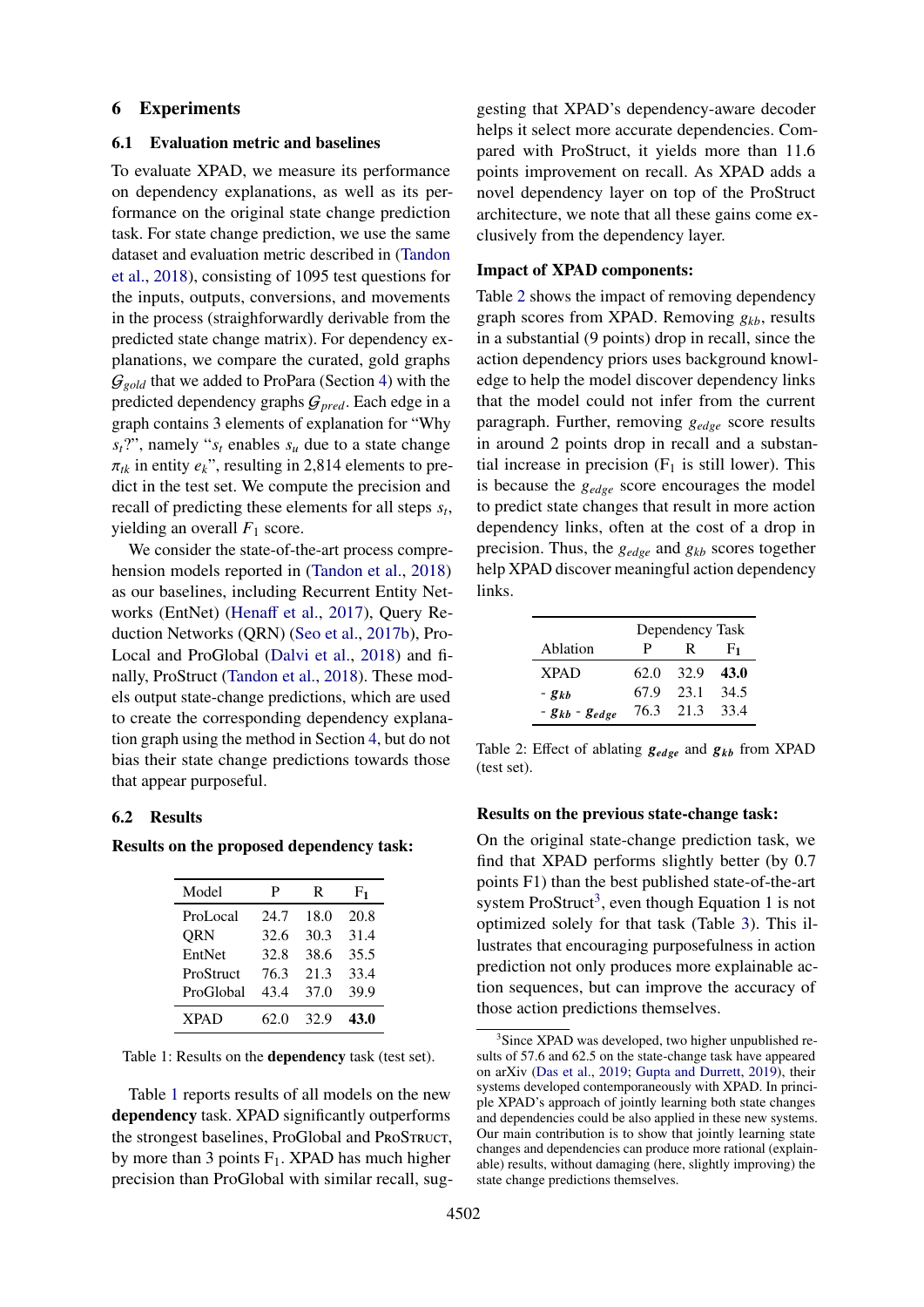#### 6 Experiments

### 6.1 Evaluation metric and baselines

To evaluate XPAD, we measure its performance on dependency explanations, as well as its performance on the original state change prediction task. For state change prediction, we use the same dataset and evaluation metric described in [\(Tandon](#page-9-1) [et al.,](#page-9-1) [2018\)](#page-9-1), consisting of 1095 test questions for the inputs, outputs, conversions, and movements in the process (straighforwardly derivable from the predicted state change matrix). For dependency explanations, we compare the curated, gold graphs  $G_{gold}$  that we added to ProPara (Section [4\)](#page-2-1) with the predicted dependency graphs G*pred*. Each edge in a graph contains 3 elements of explanation for "Why  $s_t$ ?", namely " $s_t$  enables  $s_u$  due to a state change  $\pi_{tk}$  in entity  $e_k$ ", resulting in 2,814 elements to predict in the test set. We compute the precision and recall of predicting these elements for all steps *s<sup>t</sup>* , yielding an overall  $F_1$  score.

We consider the state-of-the-art process comprehension models reported in [\(Tandon et al.,](#page-9-1) [2018\)](#page-9-1) as our baselines, including Recurrent Entity Networks (EntNet) [\(Hena](#page-9-0)ff et al., [2017\)](#page-9-0), Query Reduction Networks (QRN) [\(Seo et al.,](#page-9-18) [2017b\)](#page-9-18), Pro-Local and ProGlobal [\(Dalvi et al.,](#page-8-1) [2018\)](#page-8-1) and finally, ProStruct [\(Tandon et al.,](#page-9-1) [2018\)](#page-9-1). These models output state-change predictions, which are used to create the corresponding dependency explanation graph using the method in Section [4,](#page-2-1) but do not bias their state change predictions towards those that appear purposeful.

### 6.2 Results

<span id="page-6-0"></span>Results on the proposed dependency task:

| Model       | P    | R    | F1   |
|-------------|------|------|------|
| ProLocal    | 24.7 | 18.0 | 20.8 |
| <b>QRN</b>  | 32.6 | 30.3 | 31.4 |
| EntNet      | 32.8 | 38.6 | 35.5 |
| ProStruct   | 76.3 | 21.3 | 33.4 |
| ProGlobal   | 43.4 | 37.0 | 39.9 |
| <b>XPAD</b> | 62.0 | 32.9 | 43.0 |

Table 1: Results on the dependency task (test set).

Table [1](#page-6-0) reports results of all models on the new dependency task. XPAD significantly outperforms the strongest baselines, ProGlobal and ProSTRUCT, by more than 3 points  $F_1$ . XPAD has much higher precision than ProGlobal with similar recall, sug-

gesting that XPAD's dependency-aware decoder helps it select more accurate dependencies. Compared with ProStruct, it yields more than 11.6 points improvement on recall. As XPAD adds a novel dependency layer on top of the ProStruct architecture, we note that all these gains come exclusively from the dependency layer.

#### <span id="page-6-2"></span>Impact of XPAD components:

Table [2](#page-6-1) shows the impact of removing dependency graph scores from XPAD. Removing *gkb*, results in a substantial (9 points) drop in recall, since the action dependency priors uses background knowledge to help the model discover dependency links that the model could not infer from the current paragraph. Further, removing *gedge* score results in around 2 points drop in recall and a substantial increase in precision  $(F_1$  is still lower). This is because the *gedge* score encourages the model to predict state changes that result in more action dependency links, often at the cost of a drop in precision. Thus, the *gedge* and *gkb* scores together help XPAD discover meaningful action dependency links.

<span id="page-6-1"></span>

|                       | Dependency Task |      |      |
|-----------------------|-----------------|------|------|
| Ablation              | P               | R    | F1   |
| <b>XPAD</b>           | 62.0            | 32.9 | 43.0 |
| $- g_{kb}$            | 67.9            | 23.1 | 34.5 |
| $- g_{kb} - g_{edge}$ | 76.3            | 21.3 | 33.4 |

Table 2: Effect of ablating  $g_{edge}$  and  $g_{kb}$  from XPAD (test set).

#### Results on the previous state-change task:

On the original state-change prediction task, we find that XPAD performs slightly better (by 0.7 points F1) than the best published state-of-the-art system ProStruct<sup>[3](#page-0-1)</sup>, even though Equation 1 is not optimized solely for that task (Table [3\)](#page-7-1). This illustrates that encouraging purposefulness in action prediction not only produces more explainable action sequences, but can improve the accuracy of those action predictions themselves.

<sup>&</sup>lt;sup>3</sup>Since XPAD was developed, two higher unpublished results of 57.6 and 62.5 on the state-change task have appeared on arXiv [\(Das et al.,](#page-8-12) [2019;](#page-8-12) [Gupta and Durrett,](#page-9-19) [2019\)](#page-9-19), their systems developed contemporaneously with XPAD. In principle XPAD's approach of jointly learning both state changes and dependencies could be also applied in these new systems. Our main contribution is to show that jointly learning state changes and dependencies can produce more rational (explainable) results, without damaging (here, slightly improving) the state change predictions themselves.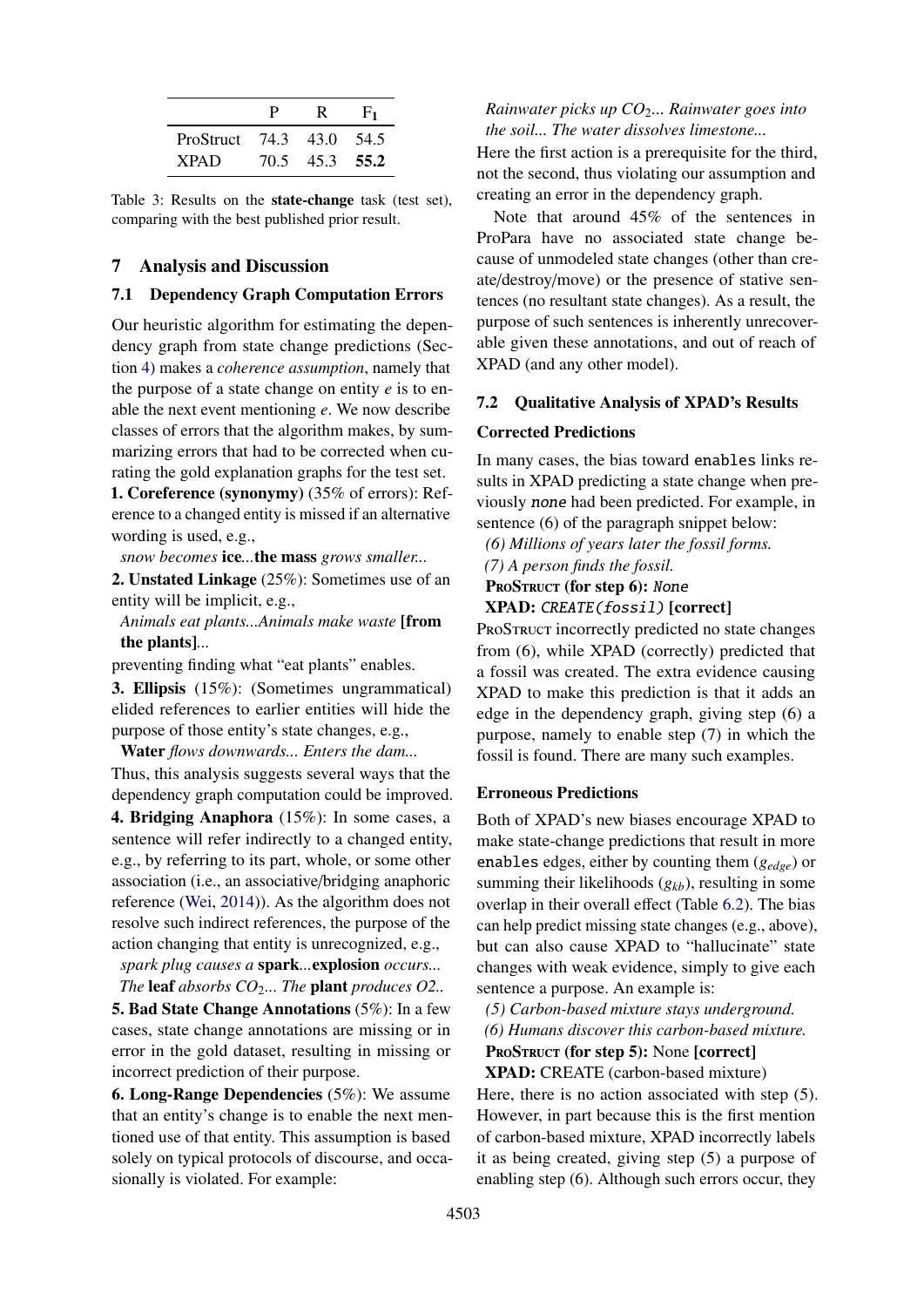<span id="page-7-1"></span>

|                          | D    |           | F1 |
|--------------------------|------|-----------|----|
| ProStruct 74.3 43.0 54.5 |      |           |    |
| <b>XPAD</b>              | 70.5 | 45.3 55.2 |    |

Table 3: Results on the state-change task (test set), comparing with the best published prior result.

### 7 Analysis and Discussion

### <span id="page-7-0"></span>7.1 Dependency Graph Computation Errors

Our heuristic algorithm for estimating the dependency graph from state change predictions (Section [4\)](#page-2-1) makes a *coherence assumption*, namely that the purpose of a state change on entity *e* is to enable the next event mentioning *e*. We now describe classes of errors that the algorithm makes, by summarizing errors that had to be corrected when curating the gold explanation graphs for the test set.

1. Coreference (synonymy) (35% of errors): Reference to a changed entity is missed if an alternative wording is used, e.g.,

*snow becomes* ice*...*the mass *grows smaller...*

2. Unstated Linkage (25%): Sometimes use of an entity will be implicit, e.g.,

*Animals eat plants...Animals make waste* [from the plants]*...*

preventing finding what "eat plants" enables.

3. Ellipsis (15%): (Sometimes ungrammatical) elided references to earlier entities will hide the purpose of those entity's state changes, e.g.,

Water *flows downwards... Enters the dam...*

Thus, this analysis suggests several ways that the dependency graph computation could be improved.

4. Bridging Anaphora (15%): In some cases, a sentence will refer indirectly to a changed entity, e.g., by referring to its part, whole, or some other association (i.e., an associative/bridging anaphoric reference [\(Wei,](#page-9-20) [2014\)](#page-9-20)). As the algorithm does not resolve such indirect references, the purpose of the action changing that entity is unrecognized, e.g.,

*spark plug causes a* spark*...*explosion *occurs...*

*The* leaf *absorbs CO*2*... The* plant *produces O2..*

5. Bad State Change Annotations (5%): In a few cases, state change annotations are missing or in error in the gold dataset, resulting in missing or incorrect prediction of their purpose.

6. Long-Range Dependencies (5%): We assume that an entity's change is to enable the next mentioned use of that entity. This assumption is based solely on typical protocols of discourse, and occasionally is violated. For example:

*Rainwater picks up CO*2*... Rainwater goes into the soil... The water dissolves limestone...*

Here the first action is a prerequisite for the third, not the second, thus violating our assumption and creating an error in the dependency graph.

Note that around 45% of the sentences in ProPara have no associated state change because of unmodeled state changes (other than create/destroy/move) or the presence of stative sentences (no resultant state changes). As a result, the purpose of such sentences is inherently unrecoverable given these annotations, and out of reach of XPAD (and any other model).

#### 7.2 Qualitative Analysis of XPAD's Results

#### Corrected Predictions

In many cases, the bias toward enables links results in XPAD predicting a state change when previously none had been predicted. For example, in sentence (6) of the paragraph snippet below:

*(6) Millions of years later the fossil forms.*

*(7) A person finds the fossil.*

PROSTRUCT (for step 6): None

### XPAD: CREATE(fossil) [correct]

PROSTRUCT incorrectly predicted no state changes from (6), while XPAD (correctly) predicted that a fossil was created. The extra evidence causing XPAD to make this prediction is that it adds an edge in the dependency graph, giving step (6) a purpose, namely to enable step (7) in which the fossil is found. There are many such examples.

#### Erroneous Predictions

Both of XPAD's new biases encourage XPAD to make state-change predictions that result in more enables edges, either by counting them (*gedge*) or summing their likelihoods (*gkb*), resulting in some overlap in their overall effect (Table [6.2\)](#page-6-2). The bias can help predict missing state changes (e.g., above), but can also cause XPAD to "hallucinate" state changes with weak evidence, simply to give each sentence a purpose. An example is:

*(5) Carbon-based mixture stays underground. (6) Humans discover this carbon-based mixture.*

PROSTRUCT (for step 5): None [correct]

XPAD: CREATE (carbon-based mixture) Here, there is no action associated with step (5). However, in part because this is the first mention of carbon-based mixture, XPAD incorrectly labels it as being created, giving step (5) a purpose of enabling step (6). Although such errors occur, they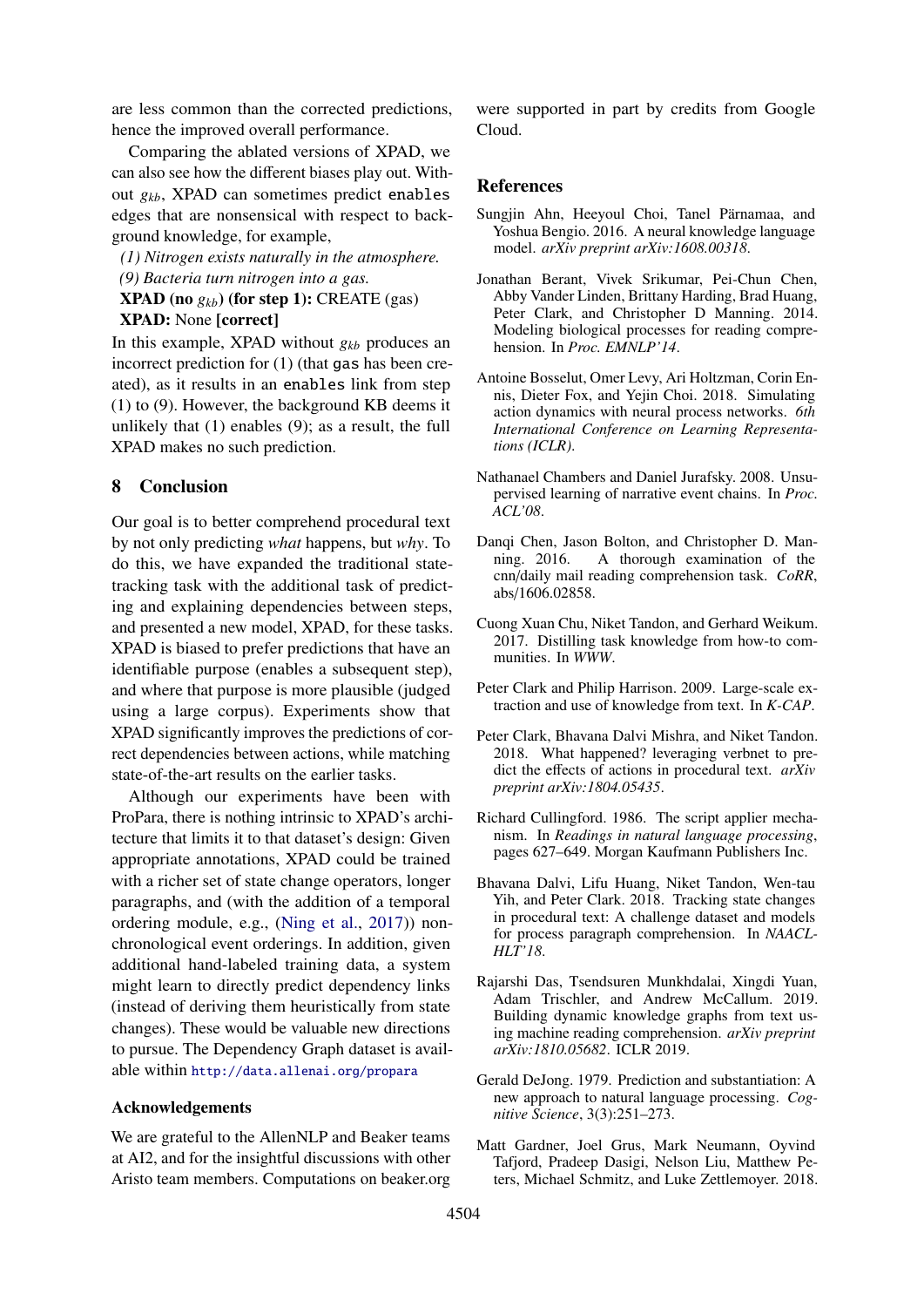are less common than the corrected predictions, hence the improved overall performance.

Comparing the ablated versions of XPAD, we can also see how the different biases play out. Without *gkb*, XPAD can sometimes predict enables edges that are nonsensical with respect to background knowledge, for example,

*(1) Nitrogen exists naturally in the atmosphere. (9) Bacteria turn nitrogen into a gas.*

**XPAD** (no  $g_{kb}$ ) (for step 1): CREATE (gas) XPAD: None [correct]

In this example, XPAD without *gkb* produces an incorrect prediction for (1) (that gas has been created), as it results in an enables link from step (1) to (9). However, the background KB deems it unlikely that (1) enables (9); as a result, the full XPAD makes no such prediction.

#### 8 Conclusion

Our goal is to better comprehend procedural text by not only predicting *what* happens, but *why*. To do this, we have expanded the traditional statetracking task with the additional task of predicting and explaining dependencies between steps, and presented a new model, XPAD, for these tasks. XPAD is biased to prefer predictions that have an identifiable purpose (enables a subsequent step), and where that purpose is more plausible (judged using a large corpus). Experiments show that XPAD significantly improves the predictions of correct dependencies between actions, while matching state-of-the-art results on the earlier tasks.

Although our experiments have been with ProPara, there is nothing intrinsic to XPAD's architecture that limits it to that dataset's design: Given appropriate annotations, XPAD could be trained with a richer set of state change operators, longer paragraphs, and (with the addition of a temporal ordering module, e.g., [\(Ning et al.,](#page-9-21) [2017\)](#page-9-21)) nonchronological event orderings. In addition, given additional hand-labeled training data, a system might learn to directly predict dependency links (instead of deriving them heuristically from state changes). These would be valuable new directions to pursue. The Dependency Graph dataset is available within <http://data.allenai.org/propara>

#### Acknowledgements

We are grateful to the AllenNLP and Beaker teams at AI2, and for the insightful discussions with other Aristo team members. Computations on beaker.org were supported in part by credits from Google Cloud.

#### References

- <span id="page-8-9"></span>Sungjin Ahn, Heeyoul Choi, Tanel Pärnamaa, and Yoshua Bengio. 2016. A neural knowledge language model. *arXiv preprint arXiv:1608.00318*.
- <span id="page-8-5"></span>Jonathan Berant, Vivek Srikumar, Pei-Chun Chen, Abby Vander Linden, Brittany Harding, Brad Huang, Peter Clark, and Christopher D Manning. 2014. Modeling biological processes for reading comprehension. In *Proc. EMNLP'14*.
- <span id="page-8-0"></span>Antoine Bosselut, Omer Levy, Ari Holtzman, Corin Ennis, Dieter Fox, and Yejin Choi. 2018. Simulating action dynamics with neural process networks. *6th International Conference on Learning Representations (ICLR)*.
- <span id="page-8-4"></span>Nathanael Chambers and Daniel Jurafsky. 2008. Unsupervised learning of narrative event chains. In *Proc. ACL'08*.
- <span id="page-8-11"></span>Danqi Chen, Jason Bolton, and Christopher D. Manning. 2016. A thorough examination of the cnn/daily mail reading comprehension task. *CoRR*, abs/1606.02858.
- <span id="page-8-7"></span>Cuong Xuan Chu, Niket Tandon, and Gerhard Weikum. 2017. Distilling task knowledge from how-to communities. In *WWW*.
- <span id="page-8-6"></span>Peter Clark and Philip Harrison. 2009. Large-scale extraction and use of knowledge from text. In *K-CAP*.
- <span id="page-8-8"></span>Peter Clark, Bhavana Dalvi Mishra, and Niket Tandon. 2018. What happened? leveraging verbnet to predict the effects of actions in procedural text. *arXiv preprint arXiv:1804.05435*.
- <span id="page-8-3"></span>Richard Cullingford. 1986. The script applier mechanism. In *Readings in natural language processing*, pages 627–649. Morgan Kaufmann Publishers Inc.
- <span id="page-8-1"></span>Bhavana Dalvi, Lifu Huang, Niket Tandon, Wen-tau Yih, and Peter Clark. 2018. Tracking state changes in procedural text: A challenge dataset and models for process paragraph comprehension. In *NAACL-HLT'18*.
- <span id="page-8-12"></span>Rajarshi Das, Tsendsuren Munkhdalai, Xingdi Yuan, Adam Trischler, and Andrew McCallum. 2019. Building dynamic knowledge graphs from text using machine reading comprehension. *arXiv preprint arXiv:1810.05682*. ICLR 2019.
- <span id="page-8-2"></span>Gerald DeJong. 1979. Prediction and substantiation: A new approach to natural language processing. *Cognitive Science*, 3(3):251–273.
- <span id="page-8-10"></span>Matt Gardner, Joel Grus, Mark Neumann, Oyvind Tafjord, Pradeep Dasigi, Nelson Liu, Matthew Peters, Michael Schmitz, and Luke Zettlemoyer. 2018.